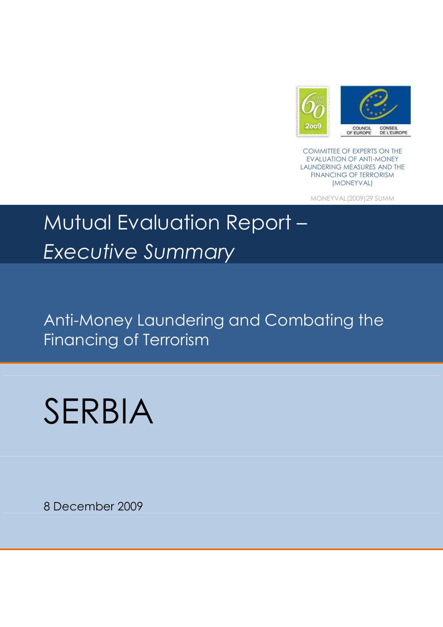

COMMITTEE OF EXPERTS ON THE EVALUATION OF ANTI-MONEY LAUNDERING MEASURES AND THE FINANCING OF TERRORISM (MONEYVAL)

MONEYVAL(2009)29 SUMM

# Mutual Evaluation Report – *Executive Summary*

Anti-Money Laundering and Combating the Financing of Terrorism

SERBIA

8 December 2009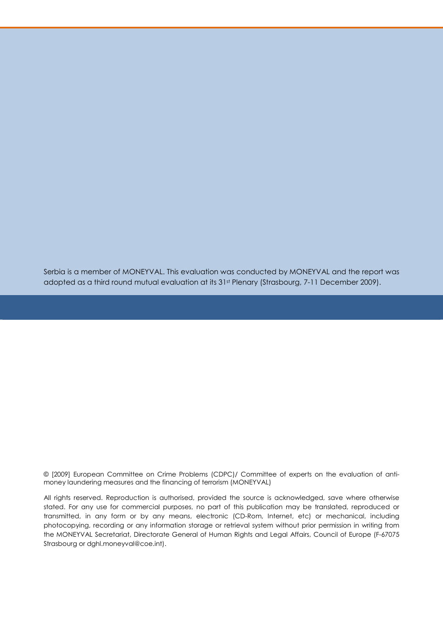Serbia is a member of MONEYVAL. This evaluation was conducted by MONEYVAL and the report was adopted as a third round mutual evaluation at its 31<sup>st</sup> Plenary (Strasbourg, 7-11 December 2009).

© [2009] European Committee on Crime Problems (CDPC)/ Committee of experts on the evaluation of antimoney laundering measures and the financing of terrorism (MONEYVAL)

All rights reserved. Reproduction is authorised, provided the source is acknowledged, save where otherwise stated. For any use for commercial purposes, no part of this publication may be translated, reproduced or transmitted, in any form or by any means, electronic (CD-Rom, Internet, etc) or mechanical, including photocopying, recording or any information storage or retrieval system without prior permission in writing from the MONEYVAL Secretariat, Directorate General of Human Rights and Legal Affairs, Council of Europe (F-67075 Strasbourg or dghl.moneyval@coe.int).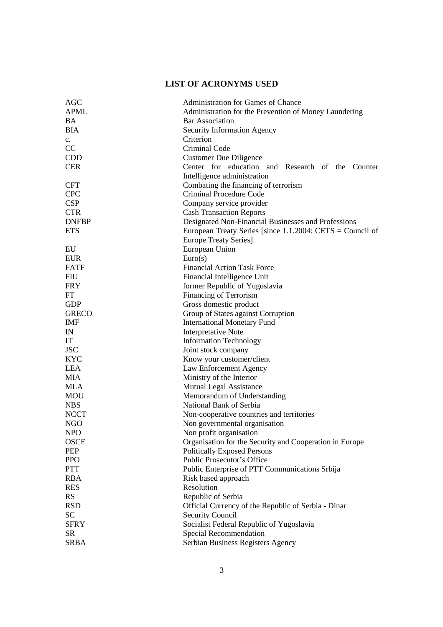# **LIST OF ACRONYMS USED**

| AGC          | Administration for Games of Chance                           |
|--------------|--------------------------------------------------------------|
| <b>APML</b>  | Administration for the Prevention of Money Laundering        |
| <b>BA</b>    | <b>Bar Association</b>                                       |
| <b>BIA</b>   | <b>Security Information Agency</b>                           |
| $c_{\cdot}$  | Criterion                                                    |
| CC           | Criminal Code                                                |
| <b>CDD</b>   | <b>Customer Due Diligence</b>                                |
| <b>CER</b>   | Center for education and Research of the Counter             |
|              | Intelligence administration                                  |
| <b>CFT</b>   | Combating the financing of terrorism                         |
| <b>CPC</b>   | Criminal Procedure Code                                      |
| <b>CSP</b>   | Company service provider                                     |
| <b>CTR</b>   | <b>Cash Transaction Reports</b>                              |
| <b>DNFBP</b> | Designated Non-Financial Businesses and Professions          |
| <b>ETS</b>   | European Treaty Series [since $1.1.2004$ : CETS = Council of |
|              |                                                              |
| EU           | <b>Europe Treaty Series</b> ]                                |
|              | European Union                                               |
| <b>EUR</b>   | Euro(s)                                                      |
| <b>FATF</b>  | <b>Financial Action Task Force</b>                           |
| FIU          | Financial Intelligence Unit                                  |
| <b>FRY</b>   | former Republic of Yugoslavia                                |
| FT           | Financing of Terrorism                                       |
| <b>GDP</b>   | Gross domestic product                                       |
| <b>GRECO</b> | Group of States against Corruption                           |
| <b>IMF</b>   | <b>International Monetary Fund</b>                           |
| IN           | <b>Interpretative Note</b>                                   |
| IT           | <b>Information Technology</b>                                |
| <b>JSC</b>   | Joint stock company                                          |
| <b>KYC</b>   | Know your customer/client                                    |
| <b>LEA</b>   | Law Enforcement Agency                                       |
| MIA          | Ministry of the Interior                                     |
| <b>MLA</b>   | <b>Mutual Legal Assistance</b>                               |
| <b>MOU</b>   | Memorandum of Understanding                                  |
| <b>NBS</b>   | National Bank of Serbia                                      |
| <b>NCCT</b>  | Non-cooperative countries and territories                    |
| <b>NGO</b>   | Non governmental organisation                                |
| <b>NPO</b>   | Non profit organisation                                      |
| <b>OSCE</b>  | Organisation for the Security and Cooperation in Europe      |
| PEP          | <b>Politically Exposed Persons</b>                           |
| <b>PPO</b>   | Public Prosecutor's Office                                   |
| <b>PTT</b>   | Public Enterprise of PTT Communications Srbija               |
| <b>RBA</b>   | Risk based approach                                          |
| <b>RES</b>   | Resolution                                                   |
| <b>RS</b>    | Republic of Serbia                                           |
| <b>RSD</b>   | Official Currency of the Republic of Serbia - Dinar          |
| <b>SC</b>    | <b>Security Council</b>                                      |
|              |                                                              |
| <b>SFRY</b>  | Socialist Federal Republic of Yugoslavia                     |
| <b>SR</b>    | Special Recommendation                                       |
| <b>SRBA</b>  | Serbian Business Registers Agency                            |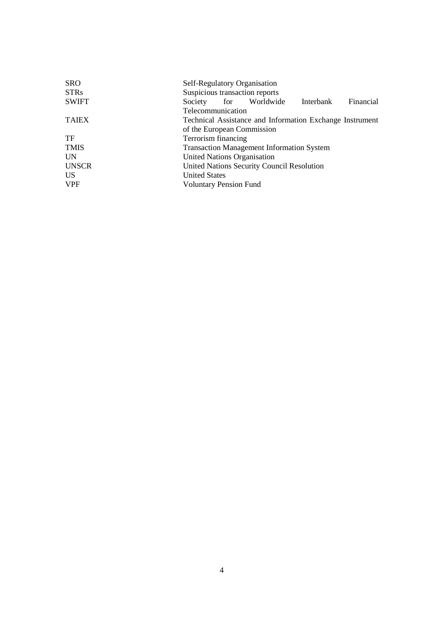| Self-Regulatory Organisation                             |
|----------------------------------------------------------|
| Suspicious transaction reports                           |
| Financial<br>Interbank<br>Society for Worldwide          |
| Telecommunication                                        |
| Technical Assistance and Information Exchange Instrument |
| of the European Commission                               |
| Terrorism financing                                      |
| <b>Transaction Management Information System</b>         |
| United Nations Organisation                              |
| United Nations Security Council Resolution               |
| <b>United States</b>                                     |
| <b>Voluntary Pension Fund</b>                            |
|                                                          |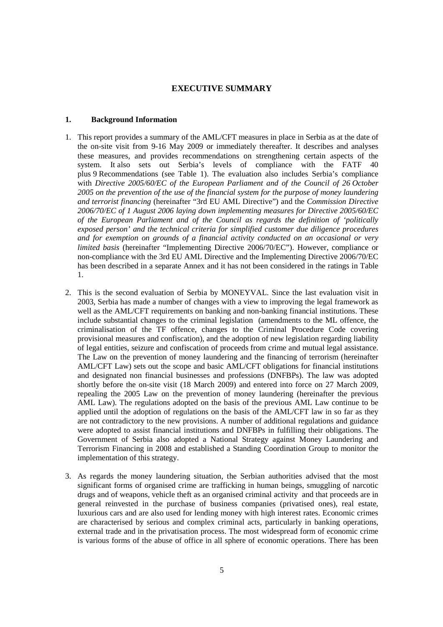## **EXECUTIVE SUMMARY**

## **1. Background Information**

- 1. This report provides a summary of the AML/CFT measures in place in Serbia as at the date of the on-site visit from 9-16 May 2009 or immediately thereafter. It describes and analyses these measures, and provides recommendations on strengthening certain aspects of the system. It also sets out Serbia's levels of compliance with the FATF 40 plus 9 Recommendations (see Table 1). The evaluation also includes Serbia's compliance with *Directive 2005/60/EC of the European Parliament and of the Council of 26 October 2005 on the prevention of the use of the financial system for the purpose of money laundering and terrorist financing* (hereinafter "3rd EU AML Directive") and the *Commission Directive 2006/70/EC of 1 August 2006 laying down implementing measures for Directive 2005/60/EC of the European Parliament and of the Council as regards the definition of 'politically exposed person' and the technical criteria for simplified customer due diligence procedures and for exemption on grounds of a financial activity conducted on an occasional or very limited basis* (hereinafter "Implementing Directive 2006/70/EC"). However, compliance or non-compliance with the 3rd EU AML Directive and the Implementing Directive 2006/70/EC has been described in a separate Annex and it has not been considered in the ratings in Table 1.
- 2. This is the second evaluation of Serbia by MONEYVAL. Since the last evaluation visit in 2003, Serbia has made a number of changes with a view to improving the legal framework as well as the AML/CFT requirements on banking and non-banking financial institutions. These include substantial changes to the criminal legislation (amendments to the ML offence, the criminalisation of the TF offence, changes to the Criminal Procedure Code covering provisional measures and confiscation), and the adoption of new legislation regarding liability of legal entities, seizure and confiscation of proceeds from crime and mutual legal assistance. The Law on the prevention of money laundering and the financing of terrorism (hereinafter AML/CFT Law) sets out the scope and basic AML/CFT obligations for financial institutions and designated non financial businesses and professions (DNFBPs). The law was adopted shortly before the on-site visit (18 March 2009) and entered into force on 27 March 2009, repealing the 2005 Law on the prevention of money laundering (hereinafter the previous AML Law). The regulations adopted on the basis of the previous AML Law continue to be applied until the adoption of regulations on the basis of the AML/CFT law in so far as they are not contradictory to the new provisions. A number of additional regulations and guidance were adopted to assist financial institutions and DNFBPs in fulfilling their obligations. The Government of Serbia also adopted a National Strategy against Money Laundering and Terrorism Financing in 2008 and established a Standing Coordination Group to monitor the implementation of this strategy.
- 3. As regards the money laundering situation, the Serbian authorities advised that the most significant forms of organised crime are trafficking in human beings, smuggling of narcotic drugs and of weapons, vehicle theft as an organised criminal activity and that proceeds are in general reinvested in the purchase of business companies (privatised ones), real estate, luxurious cars and are also used for lending money with high interest rates. Economic crimes are characterised by serious and complex criminal acts, particularly in banking operations, external trade and in the privatisation process. The most widespread form of economic crime is various forms of the abuse of office in all sphere of economic operations. There has been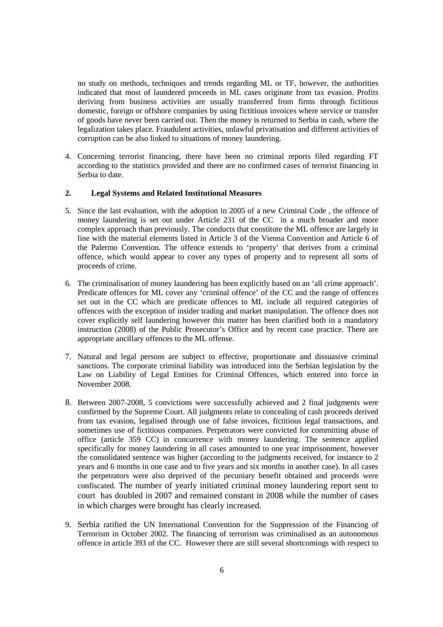no study on methods, techniques and trends regarding ML or TF, however, the authorities indicated that most of laundered proceeds in ML cases originate from tax evasion. Profits deriving from business activities are usually transferred from firms through fictitious domestic, foreign or offshore companies by using fictitious invoices where service or transfer of goods have never been carried out. Then the money is returned to Serbia in cash, where the legalization takes place. Fraudulent activities, unlawful privatisation and different activities of corruption can be also linked to situations of money laundering.

4. Concerning terrorist financing, there have been no criminal reports filed regarding FT according to the statistics provided and there are no confirmed cases of terrorist financing in Serbia to date.

#### **2. Legal Systems and Related Institutional Measures**

- 5. Since the last evaluation, with the adoption in 2005 of a new Criminal Code , the offence of money laundering is set out under Article 231 of the CC in a much broader and more complex approach than previously. The conducts that constitute the ML offence are largely in line with the material elements listed in Article 3 of the Vienna Convention and Article 6 of the Palermo Convention. The offence extends to 'property' that derives from a criminal offence, which would appear to cover any types of property and to represent all sorts of proceeds of crime.
- 6. The criminalisation of money laundering has been explicitly based on an 'all crime approach'. Predicate offences for ML cover any 'criminal offence' of the CC and the range of offences set out in the CC which are predicate offences to ML include all required categories of offences with the exception of insider trading and market manipulation. The offence does not cover explicitly self laundering however this matter has been clarified both in a mandatory instruction (2008) of the Public Prosecutor's Office and by recent case practice. There are appropriate ancillary offences to the ML offense.
- 7. Natural and legal persons are subject to effective, proportionate and dissuasive criminal sanctions. The corporate criminal liability was introduced into the Serbian legislation by the Law on Liability of Legal Entities for Criminal Offences, which entered into force in November 2008.
- 8. Between 2007-2008, 5 convictions were successfully achieved and 2 final judgments were confirmed by the Supreme Court. All judgments relate to concealing of cash proceeds derived from tax evasion, legalised through use of false invoices, fictitious legal transactions, and sometimes use of fictitious companies. Perpetrators were convicted for committing abuse of office (article 359 CC) in concurrence with money laundering. The sentence applied specifically for money laundering in all cases amounted to one year imprisonment, however the consolidated sentence was higher (according to the judgments received, for instance to 2 years and 6 months in one case and to five years and six months in another case). In all cases the perpetrators were also deprived of the pecuniary benefit obtained and proceeds were confiscated. The number of yearly initiated criminal money laundering report sent to court has doubled in 2007 and remained constant in 2008 while the number of cases in which charges were brought has clearly increased.
- 9. Serbia ratified the UN International Convention for the Suppression of the Financing of Terrorism in October 2002. The financing of terrorism was criminalised as an autonomous offence in article 393 of the CC. However there are still several shortcomings with respect to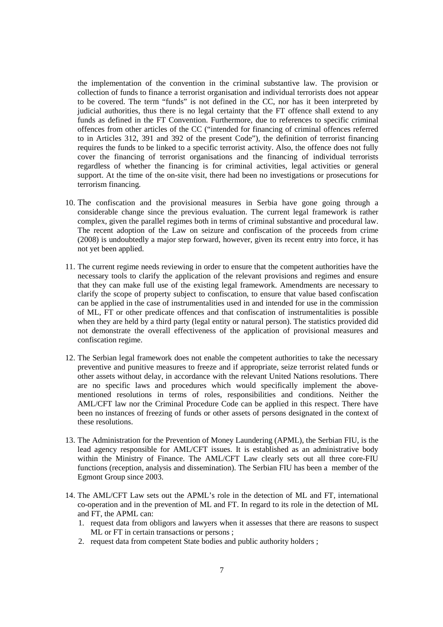the implementation of the convention in the criminal substantive law. The provision or collection of funds to finance a terrorist organisation and individual terrorists does not appear to be covered. The term "funds" is not defined in the CC, nor has it been interpreted by judicial authorities, thus there is no legal certainty that the FT offence shall extend to any funds as defined in the FT Convention. Furthermore, due to references to specific criminal offences from other articles of the CC ("intended for financing of criminal offences referred to in Articles 312, 391 and 392 of the present Code"), the definition of terrorist financing requires the funds to be linked to a specific terrorist activity. Also, the offence does not fully cover the financing of terrorist organisations and the financing of individual terrorists regardless of whether the financing is for criminal activities, legal activities or general support. At the time of the on-site visit, there had been no investigations or prosecutions for terrorism financing.

- 10. The confiscation and the provisional measures in Serbia have gone going through a considerable change since the previous evaluation. The current legal framework is rather complex, given the parallel regimes both in terms of criminal substantive and procedural law. The recent adoption of the Law on seizure and confiscation of the proceeds from crime (2008) is undoubtedly a major step forward, however, given its recent entry into force, it has not yet been applied.
- 11. The current regime needs reviewing in order to ensure that the competent authorities have the necessary tools to clarify the application of the relevant provisions and regimes and ensure that they can make full use of the existing legal framework. Amendments are necessary to clarify the scope of property subject to confiscation, to ensure that value based confiscation can be applied in the case of instrumentalities used in and intended for use in the commission of ML, FT or other predicate offences and that confiscation of instrumentalities is possible when they are held by a third party (legal entity or natural person). The statistics provided did not demonstrate the overall effectiveness of the application of provisional measures and confiscation regime.
- 12. The Serbian legal framework does not enable the competent authorities to take the necessary preventive and punitive measures to freeze and if appropriate, seize terrorist related funds or other assets without delay, in accordance with the relevant United Nations resolutions. There are no specific laws and procedures which would specifically implement the abovementioned resolutions in terms of roles, responsibilities and conditions. Neither the AML/CFT law nor the Criminal Procedure Code can be applied in this respect. There have been no instances of freezing of funds or other assets of persons designated in the context of these resolutions.
- 13. The Administration for the Prevention of Money Laundering (APML), the Serbian FIU, is the lead agency responsible for AML/CFT issues. It is established as an administrative body within the Ministry of Finance. The AML/CFT Law clearly sets out all three core-FIU functions (reception, analysis and dissemination). The Serbian FIU has been a member of the Egmont Group since 2003.
- 14. The AML/CFT Law sets out the APML's role in the detection of ML and FT, international co-operation and in the prevention of ML and FT. In regard to its role in the detection of ML and FT, the APML can:
	- 1. request data from obligors and lawyers when it assesses that there are reasons to suspect ML or FT in certain transactions or persons ;
	- 2. request data from competent State bodies and public authority holders ;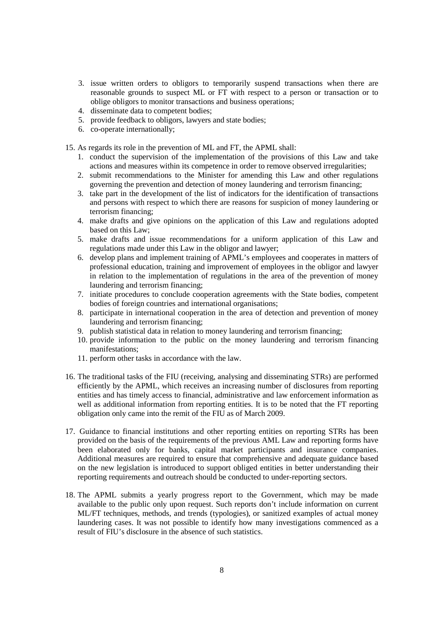- 3. issue written orders to obligors to temporarily suspend transactions when there are reasonable grounds to suspect ML or FT with respect to a person or transaction or to oblige obligors to monitor transactions and business operations;
- 4. disseminate data to competent bodies;
- 5. provide feedback to obligors, lawyers and state bodies;
- 6. co-operate internationally;

15. As regards its role in the prevention of ML and FT, the APML shall:

- 1. conduct the supervision of the implementation of the provisions of this Law and take actions and measures within its competence in order to remove observed irregularities;
- 2. submit recommendations to the Minister for amending this Law and other regulations governing the prevention and detection of money laundering and terrorism financing;
- 3. take part in the development of the list of indicators for the identification of transactions and persons with respect to which there are reasons for suspicion of money laundering or terrorism financing;
- 4. make drafts and give opinions on the application of this Law and regulations adopted based on this Law;
- 5. make drafts and issue recommendations for a uniform application of this Law and regulations made under this Law in the obligor and lawyer;
- 6. develop plans and implement training of APML's employees and cooperates in matters of professional education, training and improvement of employees in the obligor and lawyer in relation to the implementation of regulations in the area of the prevention of money laundering and terrorism financing;
- 7. initiate procedures to conclude cooperation agreements with the State bodies, competent bodies of foreign countries and international organisations;
- 8. participate in international cooperation in the area of detection and prevention of money laundering and terrorism financing;
- 9. publish statistical data in relation to money laundering and terrorism financing;
- 10. provide information to the public on the money laundering and terrorism financing manifestations;
- 11. perform other tasks in accordance with the law.
- 16. The traditional tasks of the FIU (receiving, analysing and disseminating STRs) are performed efficiently by the APML, which receives an increasing number of disclosures from reporting entities and has timely access to financial, administrative and law enforcement information as well as additional information from reporting entities. It is to be noted that the FT reporting obligation only came into the remit of the FIU as of March 2009.
- 17. Guidance to financial institutions and other reporting entities on reporting STRs has been provided on the basis of the requirements of the previous AML Law and reporting forms have been elaborated only for banks, capital market participants and insurance companies. Additional measures are required to ensure that comprehensive and adequate guidance based on the new legislation is introduced to support obliged entities in better understanding their reporting requirements and outreach should be conducted to under-reporting sectors.
- 18. The APML submits a yearly progress report to the Government, which may be made available to the public only upon request. Such reports don't include information on current ML/FT techniques, methods, and trends (typologies), or sanitized examples of actual money laundering cases. It was not possible to identify how many investigations commenced as a result of FIU's disclosure in the absence of such statistics.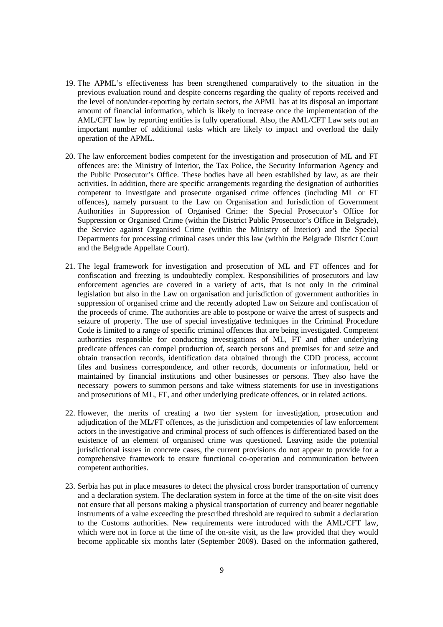- 19. The APML's effectiveness has been strengthened comparatively to the situation in the previous evaluation round and despite concerns regarding the quality of reports received and the level of non/under-reporting by certain sectors, the APML has at its disposal an important amount of financial information, which is likely to increase once the implementation of the AML/CFT law by reporting entities is fully operational. Also, the AML/CFT Law sets out an important number of additional tasks which are likely to impact and overload the daily operation of the APML.
- 20. The law enforcement bodies competent for the investigation and prosecution of ML and FT offences are: the Ministry of Interior, the Tax Police, the Security Information Agency and the Public Prosecutor's Office. These bodies have all been established by law, as are their activities. In addition, there are specific arrangements regarding the designation of authorities competent to investigate and prosecute organised crime offences (including ML or FT offences), namely pursuant to the Law on Organisation and Jurisdiction of Government Authorities in Suppression of Organised Crime: the Special Prosecutor's Office for Suppression or Organised Crime (within the District Public Prosecutor's Office in Belgrade), the Service against Organised Crime (within the Ministry of Interior) and the Special Departments for processing criminal cases under this law (within the Belgrade District Court and the Belgrade Appellate Court).
- 21. The legal framework for investigation and prosecution of ML and FT offences and for confiscation and freezing is undoubtedly complex. Responsibilities of prosecutors and law enforcement agencies are covered in a variety of acts, that is not only in the criminal legislation but also in the Law on organisation and jurisdiction of government authorities in suppression of organised crime and the recently adopted Law on Seizure and confiscation of the proceeds of crime. The authorities are able to postpone or waive the arrest of suspects and seizure of property. The use of special investigative techniques in the Criminal Procedure Code is limited to a range of specific criminal offences that are being investigated. Competent authorities responsible for conducting investigations of ML, FT and other underlying predicate offences can compel production of, search persons and premises for and seize and obtain transaction records, identification data obtained through the CDD process, account files and business correspondence, and other records, documents or information, held or maintained by financial institutions and other businesses or persons. They also have the necessary powers to summon persons and take witness statements for use in investigations and prosecutions of ML, FT, and other underlying predicate offences, or in related actions.
- 22. However, the merits of creating a two tier system for investigation, prosecution and adjudication of the ML/FT offences, as the jurisdiction and competencies of law enforcement actors in the investigative and criminal process of such offences is differentiated based on the existence of an element of organised crime was questioned. Leaving aside the potential jurisdictional issues in concrete cases, the current provisions do not appear to provide for a comprehensive framework to ensure functional co-operation and communication between competent authorities.
- 23. Serbia has put in place measures to detect the physical cross border transportation of currency and a declaration system. The declaration system in force at the time of the on-site visit does not ensure that all persons making a physical transportation of currency and bearer negotiable instruments of a value exceeding the prescribed threshold are required to submit a declaration to the Customs authorities. New requirements were introduced with the AML/CFT law, which were not in force at the time of the on-site visit, as the law provided that they would become applicable six months later (September 2009). Based on the information gathered,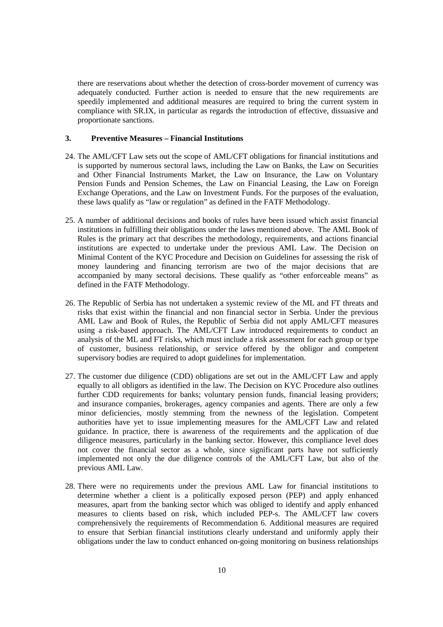there are reservations about whether the detection of cross-border movement of currency was adequately conducted. Further action is needed to ensure that the new requirements are speedily implemented and additional measures are required to bring the current system in compliance with SR.IX, in particular as regards the introduction of effective, dissuasive and proportionate sanctions.

#### **3. Preventive Measures – Financial Institutions**

- 24. The AML/CFT Law sets out the scope of AML/CFT obligations for financial institutions and is supported by numerous sectoral laws, including the Law on Banks, the Law on Securities and Other Financial Instruments Market, the Law on Insurance, the Law on Voluntary Pension Funds and Pension Schemes, the Law on Financial Leasing, the Law on Foreign Exchange Operations, and the Law on Investment Funds. For the purposes of the evaluation, these laws qualify as "law or regulation" as defined in the FATF Methodology.
- 25. A number of additional decisions and books of rules have been issued which assist financial institutions in fulfilling their obligations under the laws mentioned above. The AML Book of Rules is the primary act that describes the methodology, requirements, and actions financial institutions are expected to undertake under the previous AML Law. The Decision on Minimal Content of the KYC Procedure and Decision on Guidelines for assessing the risk of money laundering and financing terrorism are two of the major decisions that are accompanied by many sectoral decisions. These qualify as "other enforceable means" as defined in the FATF Methodology.
- 26. The Republic of Serbia has not undertaken a systemic review of the ML and FT threats and risks that exist within the financial and non financial sector in Serbia. Under the previous AML Law and Book of Rules, the Republic of Serbia did not apply AML/CFT measures using a risk-based approach. The AML/CFT Law introduced requirements to conduct an analysis of the ML and FT risks, which must include a risk assessment for each group or type of customer, business relationship, or service offered by the obligor and competent supervisory bodies are required to adopt guidelines for implementation.
- 27. The customer due diligence (CDD) obligations are set out in the AML/CFT Law and apply equally to all obligors as identified in the law. The Decision on KYC Procedure also outlines further CDD requirements for banks; voluntary pension funds, financial leasing providers; and insurance companies, brokerages, agency companies and agents. There are only a few minor deficiencies, mostly stemming from the newness of the legislation. Competent authorities have yet to issue implementing measures for the AML/CFT Law and related guidance. In practice, there is awareness of the requirements and the application of due diligence measures, particularly in the banking sector. However, this compliance level does not cover the financial sector as a whole, since significant parts have not sufficiently implemented not only the due diligence controls of the AML/CFT Law, but also of the previous AML Law.
- 28. There were no requirements under the previous AML Law for financial institutions to determine whether a client is a politically exposed person (PEP) and apply enhanced measures, apart from the banking sector which was obliged to identify and apply enhanced measures to clients based on risk, which included PEP-s. The AML/CFT law covers comprehensively the requirements of Recommendation 6. Additional measures are required to ensure that Serbian financial institutions clearly understand and uniformly apply their obligations under the law to conduct enhanced on-going monitoring on business relationships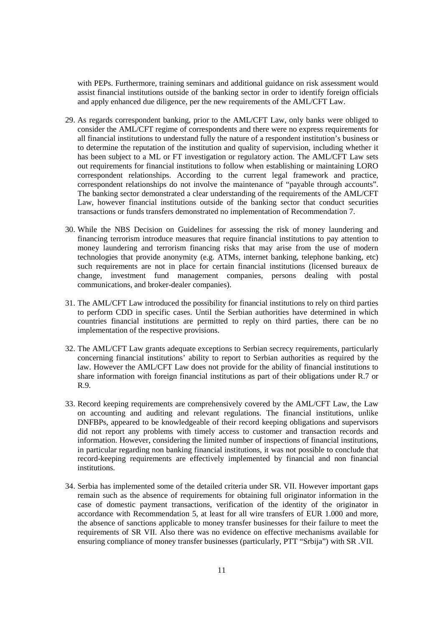with PEPs. Furthermore, training seminars and additional guidance on risk assessment would assist financial institutions outside of the banking sector in order to identify foreign officials and apply enhanced due diligence, per the new requirements of the AML/CFT Law.

- 29. As regards correspondent banking, prior to the AML/CFT Law, only banks were obliged to consider the AML/CFT regime of correspondents and there were no express requirements for all financial institutions to understand fully the nature of a respondent institution's business or to determine the reputation of the institution and quality of supervision, including whether it has been subject to a ML or FT investigation or regulatory action. The AML/CFT Law sets out requirements for financial institutions to follow when establishing or maintaining LORO correspondent relationships. According to the current legal framework and practice, correspondent relationships do not involve the maintenance of "payable through accounts". The banking sector demonstrated a clear understanding of the requirements of the AML/CFT Law, however financial institutions outside of the banking sector that conduct securities transactions or funds transfers demonstrated no implementation of Recommendation 7.
- 30. While the NBS Decision on Guidelines for assessing the risk of money laundering and financing terrorism introduce measures that require financial institutions to pay attention to money laundering and terrorism financing risks that may arise from the use of modern technologies that provide anonymity (e.g. ATMs, internet banking, telephone banking, etc) such requirements are not in place for certain financial institutions (licensed bureaux de change, investment fund management companies, persons dealing with postal communications, and broker-dealer companies).
- 31. The AML/CFT Law introduced the possibility for financial institutions to rely on third parties to perform CDD in specific cases. Until the Serbian authorities have determined in which countries financial institutions are permitted to reply on third parties, there can be no implementation of the respective provisions.
- 32. The AML/CFT Law grants adequate exceptions to Serbian secrecy requirements, particularly concerning financial institutions' ability to report to Serbian authorities as required by the law. However the AML/CFT Law does not provide for the ability of financial institutions to share information with foreign financial institutions as part of their obligations under R.7 or R.9.
- 33. Record keeping requirements are comprehensively covered by the AML/CFT Law, the Law on accounting and auditing and relevant regulations. The financial institutions, unlike DNFBPs, appeared to be knowledgeable of their record keeping obligations and supervisors did not report any problems with timely access to customer and transaction records and information. However, considering the limited number of inspections of financial institutions, in particular regarding non banking financial institutions, it was not possible to conclude that record-keeping requirements are effectively implemented by financial and non financial institutions.
- 34. Serbia has implemented some of the detailed criteria under SR. VII. However important gaps remain such as the absence of requirements for obtaining full originator information in the case of domestic payment transactions, verification of the identity of the originator in accordance with Recommendation 5, at least for all wire transfers of EUR 1.000 and more, the absence of sanctions applicable to money transfer businesses for their failure to meet the requirements of SR VII. Also there was no evidence on effective mechanisms available for ensuring compliance of money transfer businesses (particularly, PTT "Srbija") with SR .VII.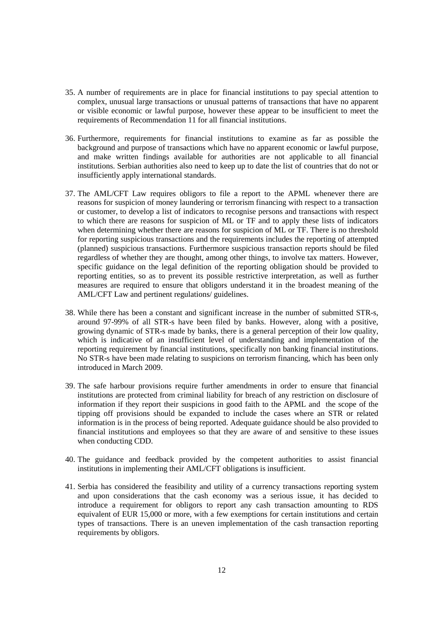- 35. A number of requirements are in place for financial institutions to pay special attention to complex, unusual large transactions or unusual patterns of transactions that have no apparent or visible economic or lawful purpose, however these appear to be insufficient to meet the requirements of Recommendation 11 for all financial institutions.
- 36. Furthermore, requirements for financial institutions to examine as far as possible the background and purpose of transactions which have no apparent economic or lawful purpose, and make written findings available for authorities are not applicable to all financial institutions. Serbian authorities also need to keep up to date the list of countries that do not or insufficiently apply international standards.
- 37. The AML/CFT Law requires obligors to file a report to the APML whenever there are reasons for suspicion of money laundering or terrorism financing with respect to a transaction or customer, to develop a list of indicators to recognise persons and transactions with respect to which there are reasons for suspicion of ML or TF and to apply these lists of indicators when determining whether there are reasons for suspicion of ML or TF. There is no threshold for reporting suspicious transactions and the requirements includes the reporting of attempted (planned) suspicious transactions. Furthermore suspicious transaction reports should be filed regardless of whether they are thought, among other things, to involve tax matters. However, specific guidance on the legal definition of the reporting obligation should be provided to reporting entities, so as to prevent its possible restrictive interpretation, as well as further measures are required to ensure that obligors understand it in the broadest meaning of the AML/CFT Law and pertinent regulations/ guidelines.
- 38. While there has been a constant and significant increase in the number of submitted STR-s, around 97-99% of all STR-s have been filed by banks. However, along with a positive, growing dynamic of STR-s made by banks, there is a general perception of their low quality, which is indicative of an insufficient level of understanding and implementation of the reporting requirement by financial institutions, specifically non banking financial institutions. No STR-s have been made relating to suspicions on terrorism financing, which has been only introduced in March 2009.
- 39. The safe harbour provisions require further amendments in order to ensure that financial institutions are protected from criminal liability for breach of any restriction on disclosure of information if they report their suspicions in good faith to the APML and the scope of the tipping off provisions should be expanded to include the cases where an STR or related information is in the process of being reported. Adequate guidance should be also provided to financial institutions and employees so that they are aware of and sensitive to these issues when conducting CDD.
- 40. The guidance and feedback provided by the competent authorities to assist financial institutions in implementing their AML/CFT obligations is insufficient.
- 41. Serbia has considered the feasibility and utility of a currency transactions reporting system and upon considerations that the cash economy was a serious issue, it has decided to introduce a requirement for obligors to report any cash transaction amounting to RDS equivalent of EUR 15,000 or more, with a few exemptions for certain institutions and certain types of transactions. There is an uneven implementation of the cash transaction reporting requirements by obligors.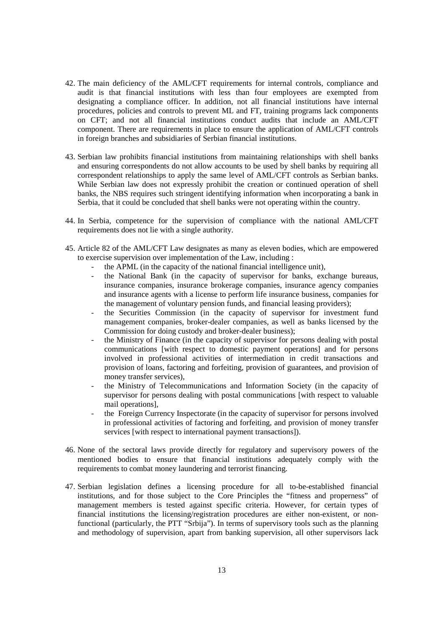- 42. The main deficiency of the AML/CFT requirements for internal controls, compliance and audit is that financial institutions with less than four employees are exempted from designating a compliance officer. In addition, not all financial institutions have internal procedures, policies and controls to prevent ML and FT, training programs lack components on CFT; and not all financial institutions conduct audits that include an AML/CFT component. There are requirements in place to ensure the application of AML/CFT controls in foreign branches and subsidiaries of Serbian financial institutions.
- 43. Serbian law prohibits financial institutions from maintaining relationships with shell banks and ensuring correspondents do not allow accounts to be used by shell banks by requiring all correspondent relationships to apply the same level of AML/CFT controls as Serbian banks. While Serbian law does not expressly prohibit the creation or continued operation of shell banks, the NBS requires such stringent identifying information when incorporating a bank in Serbia, that it could be concluded that shell banks were not operating within the country.
- 44. In Serbia, competence for the supervision of compliance with the national AML/CFT requirements does not lie with a single authority.
- 45. Article 82 of the AML/CFT Law designates as many as eleven bodies, which are empowered to exercise supervision over implementation of the Law, including :
	- the APML (in the capacity of the national financial intelligence unit),
	- the National Bank (in the capacity of supervisor for banks, exchange bureaus, insurance companies, insurance brokerage companies, insurance agency companies and insurance agents with a license to perform life insurance business, companies for the management of voluntary pension funds, and financial leasing providers);
	- the Securities Commission (in the capacity of supervisor for investment fund management companies, broker-dealer companies, as well as banks licensed by the Commission for doing custody and broker-dealer business);
	- the Ministry of Finance (in the capacity of supervisor for persons dealing with postal communications [with respect to domestic payment operations] and for persons involved in professional activities of intermediation in credit transactions and provision of loans, factoring and forfeiting, provision of guarantees, and provision of money transfer services),
	- the Ministry of Telecommunications and Information Society (in the capacity of supervisor for persons dealing with postal communications [with respect to valuable mail operations],
	- the Foreign Currency Inspectorate (in the capacity of supervisor for persons involved in professional activities of factoring and forfeiting, and provision of money transfer services [with respect to international payment transactions]).
- 46. None of the sectoral laws provide directly for regulatory and supervisory powers of the mentioned bodies to ensure that financial institutions adequately comply with the requirements to combat money laundering and terrorist financing.
- 47. Serbian legislation defines a licensing procedure for all to-be-established financial institutions, and for those subject to the Core Principles the "fitness and properness" of management members is tested against specific criteria. However, for certain types of financial institutions the licensing/registration procedures are either non-existent, or nonfunctional (particularly, the PTT "Srbija"). In terms of supervisory tools such as the planning and methodology of supervision, apart from banking supervision, all other supervisors lack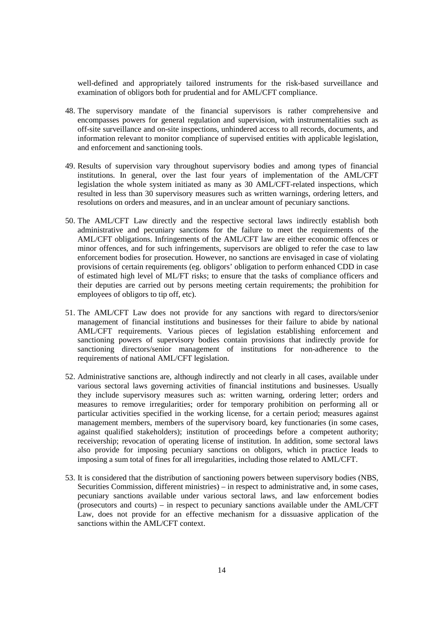well-defined and appropriately tailored instruments for the risk-based surveillance and examination of obligors both for prudential and for AML/CFT compliance.

- 48. The supervisory mandate of the financial supervisors is rather comprehensive and encompasses powers for general regulation and supervision, with instrumentalities such as off-site surveillance and on-site inspections, unhindered access to all records, documents, and information relevant to monitor compliance of supervised entities with applicable legislation, and enforcement and sanctioning tools.
- 49. Results of supervision vary throughout supervisory bodies and among types of financial institutions. In general, over the last four years of implementation of the AML/CFT legislation the whole system initiated as many as 30 AML/CFT-related inspections, which resulted in less than 30 supervisory measures such as written warnings, ordering letters, and resolutions on orders and measures, and in an unclear amount of pecuniary sanctions.
- 50. The AML/CFT Law directly and the respective sectoral laws indirectly establish both administrative and pecuniary sanctions for the failure to meet the requirements of the AML/CFT obligations. Infringements of the AML/CFT law are either economic offences or minor offences, and for such infringements, supervisors are obliged to refer the case to law enforcement bodies for prosecution. However, no sanctions are envisaged in case of violating provisions of certain requirements (eg. obligors' obligation to perform enhanced CDD in case of estimated high level of ML/FT risks; to ensure that the tasks of compliance officers and their deputies are carried out by persons meeting certain requirements; the prohibition for employees of obligors to tip off, etc).
- 51. The AML/CFT Law does not provide for any sanctions with regard to directors/senior management of financial institutions and businesses for their failure to abide by national AML/CFT requirements. Various pieces of legislation establishing enforcement and sanctioning powers of supervisory bodies contain provisions that indirectly provide for sanctioning directors/senior management of institutions for non-adherence to the requirements of national AML/CFT legislation.
- 52. Administrative sanctions are, although indirectly and not clearly in all cases, available under various sectoral laws governing activities of financial institutions and businesses. Usually they include supervisory measures such as: written warning, ordering letter; orders and measures to remove irregularities; order for temporary prohibition on performing all or particular activities specified in the working license, for a certain period; measures against management members, members of the supervisory board, key functionaries (in some cases, against qualified stakeholders); institution of proceedings before a competent authority; receivership; revocation of operating license of institution. In addition, some sectoral laws also provide for imposing pecuniary sanctions on obligors, which in practice leads to imposing a sum total of fines for all irregularities, including those related to AML/CFT.
- 53. It is considered that the distribution of sanctioning powers between supervisory bodies (NBS, Securities Commission, different ministries) – in respect to administrative and, in some cases, pecuniary sanctions available under various sectoral laws, and law enforcement bodies (prosecutors and courts) – in respect to pecuniary sanctions available under the AML/CFT Law, does not provide for an effective mechanism for a dissuasive application of the sanctions within the AML/CFT context.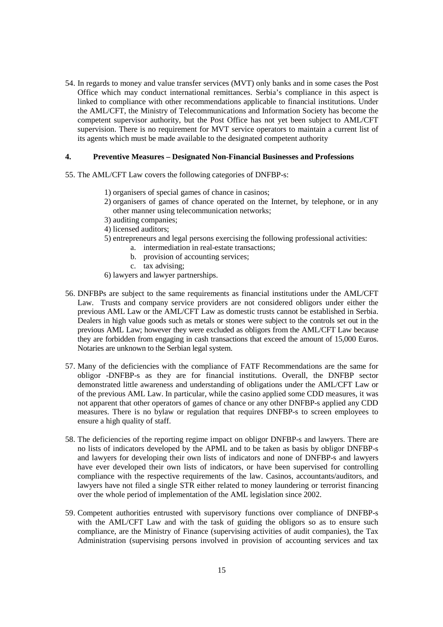54. In regards to money and value transfer services (MVT) only banks and in some cases the Post Office which may conduct international remittances. Serbia's compliance in this aspect is linked to compliance with other recommendations applicable to financial institutions. Under the AML/CFT, the Ministry of Telecommunications and Information Society has become the competent supervisor authority, but the Post Office has not yet been subject to AML/CFT supervision. There is no requirement for MVT service operators to maintain a current list of its agents which must be made available to the designated competent authority

#### **4. Preventive Measures – Designated Non-Financial Businesses and Professions**

- 55. The AML/CFT Law covers the following categories of DNFBP-s:
	- 1) organisers of special games of chance in casinos;
	- 2) organisers of games of chance operated on the Internet, by telephone, or in any other manner using telecommunication networks;
	- 3) auditing companies;
	- 4) licensed auditors;
	- 5) entrepreneurs and legal persons exercising the following professional activities:
		- a. intermediation in real-estate transactions;
		- b. provision of accounting services;
		- c. tax advising;
	- 6) lawyers and lawyer partnerships.
- 56. DNFBPs are subject to the same requirements as financial institutions under the AML/CFT Law. Trusts and company service providers are not considered obligors under either the previous AML Law or the AML/CFT Law as domestic trusts cannot be established in Serbia. Dealers in high value goods such as metals or stones were subject to the controls set out in the previous AML Law; however they were excluded as obligors from the AML/CFT Law because they are forbidden from engaging in cash transactions that exceed the amount of 15,000 Euros. Notaries are unknown to the Serbian legal system.
- 57. Many of the deficiencies with the compliance of FATF Recommendations are the same for obligor -DNFBP-s as they are for financial institutions. Overall, the DNFBP sector demonstrated little awareness and understanding of obligations under the AML/CFT Law or of the previous AML Law. In particular, while the casino applied some CDD measures, it was not apparent that other operators of games of chance or any other DNFBP-s applied any CDD measures. There is no bylaw or regulation that requires DNFBP-s to screen employees to ensure a high quality of staff.
- 58. The deficiencies of the reporting regime impact on obligor DNFBP-s and lawyers. There are no lists of indicators developed by the APML and to be taken as basis by obligor DNFBP-s and lawyers for developing their own lists of indicators and none of DNFBP-s and lawyers have ever developed their own lists of indicators, or have been supervised for controlling compliance with the respective requirements of the law. Casinos, accountants/auditors, and lawyers have not filed a single STR either related to money laundering or terrorist financing over the whole period of implementation of the AML legislation since 2002.
- 59. Competent authorities entrusted with supervisory functions over compliance of DNFBP-s with the AML/CFT Law and with the task of guiding the obligors so as to ensure such compliance, are the Ministry of Finance (supervising activities of audit companies), the Tax Administration (supervising persons involved in provision of accounting services and tax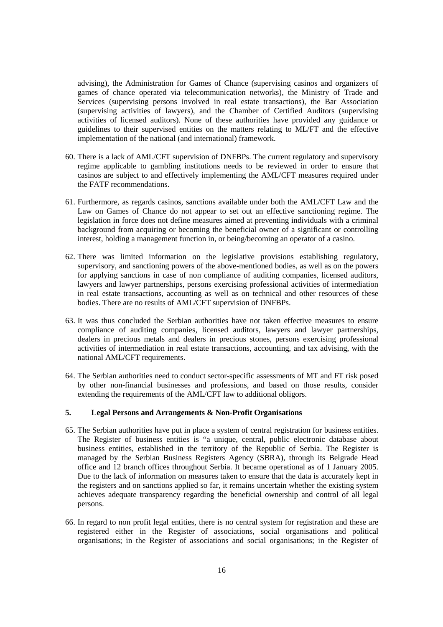advising), the Administration for Games of Chance (supervising casinos and organizers of games of chance operated via telecommunication networks), the Ministry of Trade and Services (supervising persons involved in real estate transactions), the Bar Association (supervising activities of lawyers), and the Chamber of Certified Auditors (supervising activities of licensed auditors). None of these authorities have provided any guidance or guidelines to their supervised entities on the matters relating to ML/FT and the effective implementation of the national (and international) framework.

- 60. There is a lack of AML/CFT supervision of DNFBPs. The current regulatory and supervisory regime applicable to gambling institutions needs to be reviewed in order to ensure that casinos are subject to and effectively implementing the AML/CFT measures required under the FATF recommendations.
- 61. Furthermore, as regards casinos, sanctions available under both the AML/CFT Law and the Law on Games of Chance do not appear to set out an effective sanctioning regime. The legislation in force does not define measures aimed at preventing individuals with a criminal background from acquiring or becoming the beneficial owner of a significant or controlling interest, holding a management function in, or being/becoming an operator of a casino.
- 62. There was limited information on the legislative provisions establishing regulatory, supervisory, and sanctioning powers of the above-mentioned bodies, as well as on the powers for applying sanctions in case of non compliance of auditing companies, licensed auditors, lawyers and lawyer partnerships, persons exercising professional activities of intermediation in real estate transactions, accounting as well as on technical and other resources of these bodies. There are no results of AML/CFT supervision of DNFBPs.
- 63. It was thus concluded the Serbian authorities have not taken effective measures to ensure compliance of auditing companies, licensed auditors, lawyers and lawyer partnerships, dealers in precious metals and dealers in precious stones, persons exercising professional activities of intermediation in real estate transactions, accounting, and tax advising, with the national AML/CFT requirements.
- 64. The Serbian authorities need to conduct sector-specific assessments of MT and FT risk posed by other non-financial businesses and professions, and based on those results, consider extending the requirements of the AML/CFT law to additional obligors.

### **5. Legal Persons and Arrangements & Non-Profit Organisations**

- 65. The Serbian authorities have put in place a system of central registration for business entities. The Register of business entities is "a unique, central, public electronic database about business entities, established in the territory of the Republic of Serbia. The Register is managed by the Serbian Business Registers Agency (SBRA), through its Belgrade Head office and 12 branch offices throughout Serbia. It became operational as of 1 January 2005. Due to the lack of information on measures taken to ensure that the data is accurately kept in the registers and on sanctions applied so far, it remains uncertain whether the existing system achieves adequate transparency regarding the beneficial ownership and control of all legal persons.
- 66. In regard to non profit legal entities, there is no central system for registration and these are registered either in the Register of associations, social organisations and political organisations; in the Register of associations and social organisations; in the Register of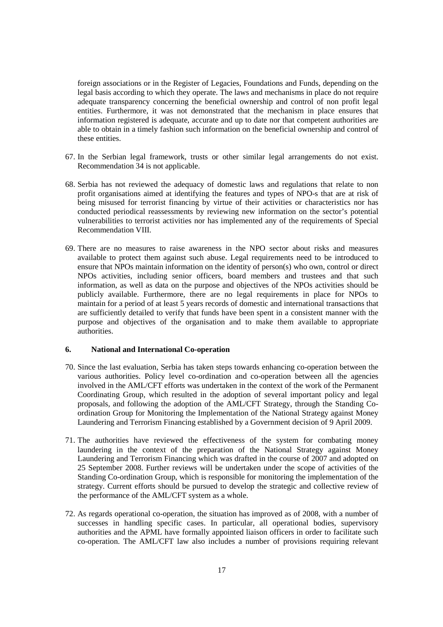foreign associations or in the Register of Legacies, Foundations and Funds, depending on the legal basis according to which they operate. The laws and mechanisms in place do not require adequate transparency concerning the beneficial ownership and control of non profit legal entities. Furthermore, it was not demonstrated that the mechanism in place ensures that information registered is adequate, accurate and up to date nor that competent authorities are able to obtain in a timely fashion such information on the beneficial ownership and control of these entities.

- 67. In the Serbian legal framework, trusts or other similar legal arrangements do not exist. Recommendation 34 is not applicable.
- 68. Serbia has not reviewed the adequacy of domestic laws and regulations that relate to non profit organisations aimed at identifying the features and types of NPO-s that are at risk of being misused for terrorist financing by virtue of their activities or characteristics nor has conducted periodical reassessments by reviewing new information on the sector's potential vulnerabilities to terrorist activities nor has implemented any of the requirements of Special Recommendation VIII.
- 69. There are no measures to raise awareness in the NPO sector about risks and measures available to protect them against such abuse. Legal requirements need to be introduced to ensure that NPOs maintain information on the identity of person(s) who own, control or direct NPOs activities, including senior officers, board members and trustees and that such information, as well as data on the purpose and objectives of the NPOs activities should be publicly available. Furthermore, there are no legal requirements in place for NPOs to maintain for a period of at least 5 years records of domestic and international transactions that are sufficiently detailed to verify that funds have been spent in a consistent manner with the purpose and objectives of the organisation and to make them available to appropriate authorities.

## **6. National and International Co-operation**

- 70. Since the last evaluation, Serbia has taken steps towards enhancing co-operation between the various authorities. Policy level co-ordination and co-operation between all the agencies involved in the AML/CFT efforts was undertaken in the context of the work of the Permanent Coordinating Group, which resulted in the adoption of several important policy and legal proposals, and following the adoption of the AML/CFT Strategy, through the Standing Coordination Group for Monitoring the Implementation of the National Strategy against Money Laundering and Terrorism Financing established by a Government decision of 9 April 2009.
- 71. The authorities have reviewed the effectiveness of the system for combating money laundering in the context of the preparation of the National Strategy against Money Laundering and Terrorism Financing which was drafted in the course of 2007 and adopted on 25 September 2008. Further reviews will be undertaken under the scope of activities of the Standing Co-ordination Group, which is responsible for monitoring the implementation of the strategy. Current efforts should be pursued to develop the strategic and collective review of the performance of the AML/CFT system as a whole.
- 72. As regards operational co-operation, the situation has improved as of 2008, with a number of successes in handling specific cases. In particular, all operational bodies, supervisory authorities and the APML have formally appointed liaison officers in order to facilitate such co-operation. The AML/CFT law also includes a number of provisions requiring relevant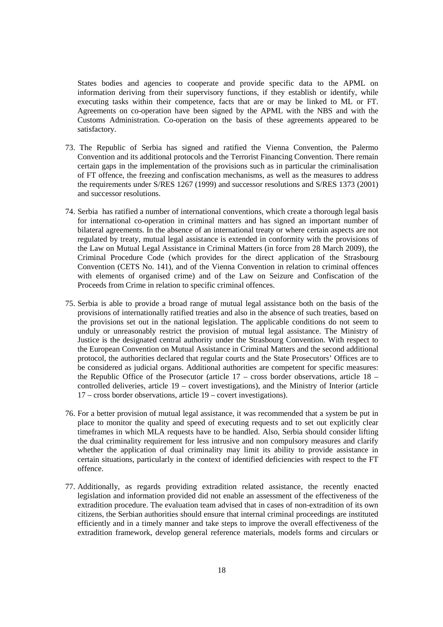States bodies and agencies to cooperate and provide specific data to the APML on information deriving from their supervisory functions, if they establish or identify, while executing tasks within their competence, facts that are or may be linked to ML or FT. Agreements on co-operation have been signed by the APML with the NBS and with the Customs Administration. Co-operation on the basis of these agreements appeared to be satisfactory.

- 73. The Republic of Serbia has signed and ratified the Vienna Convention, the Palermo Convention and its additional protocols and the Terrorist Financing Convention. There remain certain gaps in the implementation of the provisions such as in particular the criminalisation of FT offence, the freezing and confiscation mechanisms, as well as the measures to address the requirements under S/RES 1267 (1999) and successor resolutions and S/RES 1373 (2001) and successor resolutions.
- 74. Serbia has ratified a number of international conventions, which create a thorough legal basis for international co-operation in criminal matters and has signed an important number of bilateral agreements. In the absence of an international treaty or where certain aspects are not regulated by treaty, mutual legal assistance is extended in conformity with the provisions of the Law on Mutual Legal Assistance in Criminal Matters (in force from 28 March 2009), the Criminal Procedure Code (which provides for the direct application of the Strasbourg Convention (CETS No. 141), and of the Vienna Convention in relation to criminal offences with elements of organised crime) and of the Law on Seizure and Confiscation of the Proceeds from Crime in relation to specific criminal offences.
- 75. Serbia is able to provide a broad range of mutual legal assistance both on the basis of the provisions of internationally ratified treaties and also in the absence of such treaties, based on the provisions set out in the national legislation. The applicable conditions do not seem to unduly or unreasonably restrict the provision of mutual legal assistance. The Ministry of Justice is the designated central authority under the Strasbourg Convention. With respect to the European Convention on Mutual Assistance in Criminal Matters and the second additional protocol, the authorities declared that regular courts and the State Prosecutors' Offices are to be considered as judicial organs. Additional authorities are competent for specific measures: the Republic Office of the Prosecutor (article 17 – cross border observations, article 18 – controlled deliveries, article 19 – covert investigations), and the Ministry of Interior (article 17 – cross border observations, article 19 – covert investigations).
- 76. For a better provision of mutual legal assistance, it was recommended that a system be put in place to monitor the quality and speed of executing requests and to set out explicitly clear timeframes in which MLA requests have to be handled. Also, Serbia should consider lifting the dual criminality requirement for less intrusive and non compulsory measures and clarify whether the application of dual criminality may limit its ability to provide assistance in certain situations, particularly in the context of identified deficiencies with respect to the FT offence.
- 77. Additionally, as regards providing extradition related assistance, the recently enacted legislation and information provided did not enable an assessment of the effectiveness of the extradition procedure. The evaluation team advised that in cases of non-extradition of its own citizens, the Serbian authorities should ensure that internal criminal proceedings are instituted efficiently and in a timely manner and take steps to improve the overall effectiveness of the extradition framework, develop general reference materials, models forms and circulars or